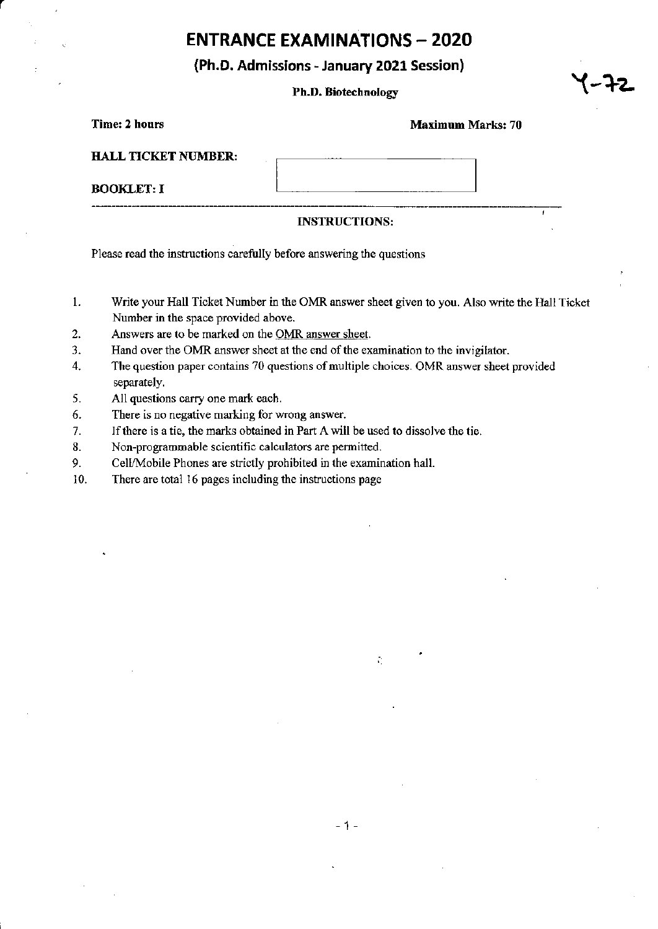# **ENTRANCE EXAMINATIONS - 2020**

## (Ph.D. Admissions - January 2021 Session)

### Ph.D. Biotechnology

#### Maximum Marks: 70

| <b>HALL TICKET NUMBER:</b>    |  |
|-------------------------------|--|
| <b>BOOKLET: I</b>             |  |
| ----<br>--------------------- |  |

### INSIRUCTIONS:

Please read the instructions carefully before answering the questions

- 1. Write your Hall Ticket Number in the OMR answer sheet given to you. Also write the Hall Ticket Number in the space provided above.
- 2. Answers are to be marked on the OMR answer sheet.
- 3. Hand over the OMR answer sheet at the end of the examination to the invigilator.
- 4. The question paper contains 70 questions of multiple choices. OMR answer sheet provided separately.
- 5. All questions carry one mark each.
- 6. There is no negative marking for wrong answer.
- 7. lf there is a tie, the marks obtained in Part A will be used to dissolve the tie.
- 8. Non-programmable scientific calculators are permitted.
- 9. Cell/Mobile Phones are strictly prohibited in the examination hall.
- 10. There are total 16 pages including the instructions page

 $\mathcal{L}_1$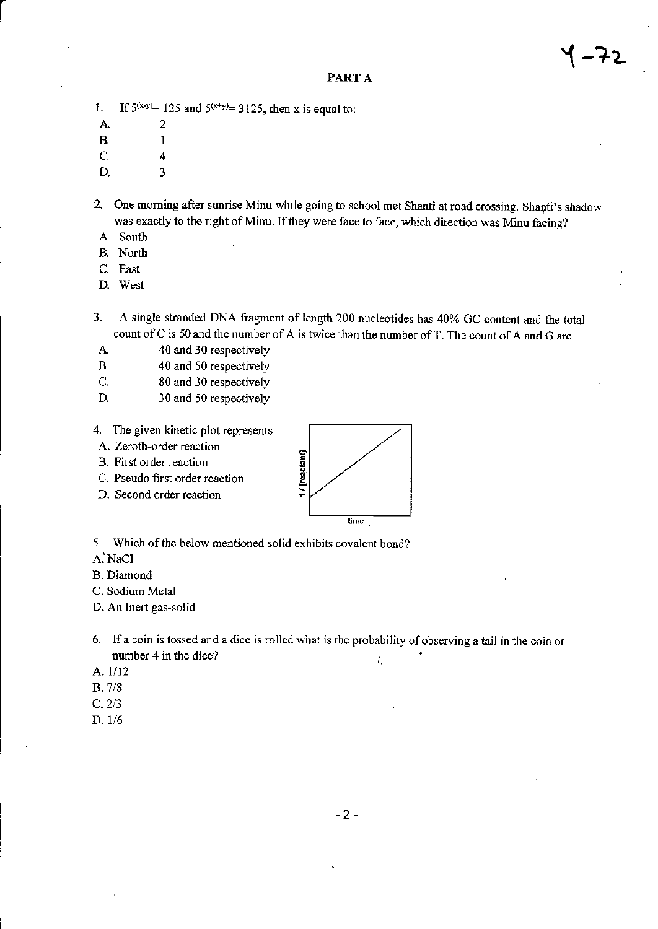If  $5^{(x-y)=}$  125 and  $5^{(x+y)=}$  3125, then x is equal to: 1.

A.

 $\overline{2}$ 

 $\mathbf{1}$ 

4

3

- $B$
- $\mathsf{C}$
- D.
- 2. One morning after sunrise Minu while going to school met Shanti at road crossing. Shanti's shadow was exactly to the right of Minu. If they were face to face, which direction was Minu facing?
- A South
- B. North
- C. East
- D. West
- A single stranded DNA fragment of length 200 nucleotides has 40% GC content and the total 3. count of C is 50 and the number of A is twice than the number of T. The count of A and G are
- 40 and 30 respectively A.
- $B$ . 40 and 50 respectively
- $\mathsf{C}$ 80 and 30 respectively
- D. 30 and 50 respectively
- 4. The given kinetic plot represents
- A. Zeroth-order reaction
- B. First order reaction
- C. Pseudo first order reaction
- D. Second order reaction



5. Which of the below mentioned solid exhibits covalent bond?

- A. NaCl
- **B.** Diamond
- C. Sodium Metal

D. An Inert gas-solid

- 6. If a coin is tossed and a dice is rolled what is the probability of observing a tail in the coin or number 4 in the dice? ÷.
- A. 1/12
- $B.7/8$
- $C. 2/3$
- $D. 1/6$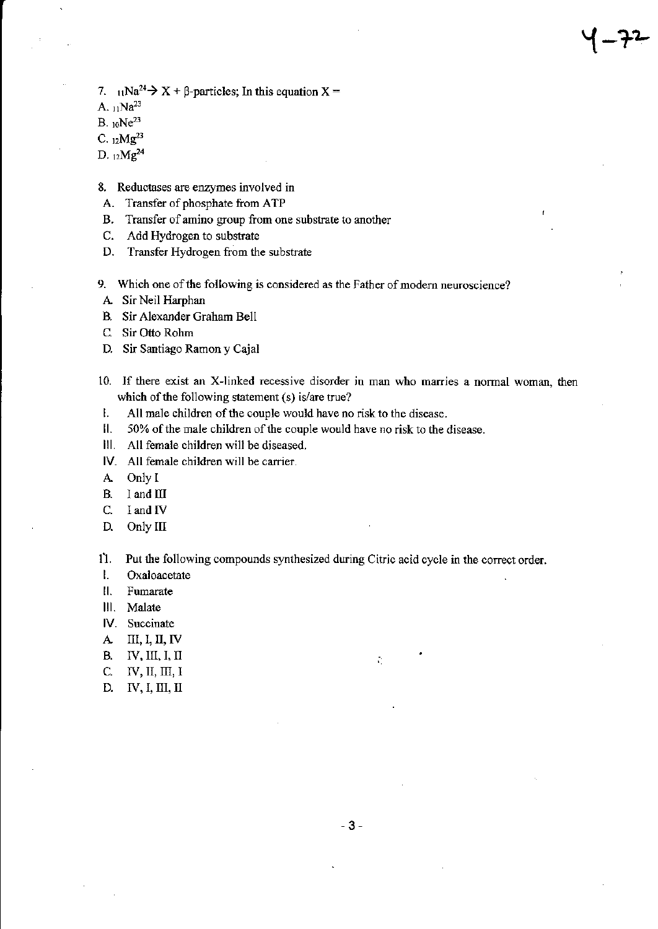- 7.  $_{11}Na^{24} \rightarrow X + \beta$ -particles; In this equation X =
- A,  $11Na^{23}$
- $B.10Ne^{23}$
- C.  $12Mg^{23}$
- D.  $12Mg^{24}$
- 8. Reductases are enzymes involved in
- A. Transfer of phosphate from ATP
- **B.** Transfer of amino group from one substrate to another
- C. Add Hydrogen to substrate
- D. Transfer Hydrogen from the substrate
- 9. Which one of the following is considered as the Father of modern neuroscience?
- A. Sir Neil Harphan
- B. Sir Alexander Graham Bell
- C. Sir Otto Rohm
- D. Sir Santiago Ramon y Cajal
- 10. If there exist an X-linked recessive disorder in man who marries a normal woman, then which of the following statement (s) is/are true?
- Ι. All male children of the couple would have no risk to the disease.
- $\mathbf{II}$ . 50% of the male children of the couple would have no risk to the disease.
- III. All female children will be diseased.
- IV. All female children will be carrier.
- Only I  $A$
- **B.** I and III
- $C.$ I and IV
- D. Only III

11. Put the following compounds synthesized during Citric acid cycle in the correct order.

- $\mathbf{I}$ Oxaloacetate
- $\mathbf{II}$ . Fumarate
- III. Malate
- IV. Succinate
- $II, I, II, IV$  ${\bf A}$
- **B.** IV, III, I, II
- C.  $IV, II, III, I$
- $IV, I, III, II$ D.

 $\tilde{\mathcal{C}}$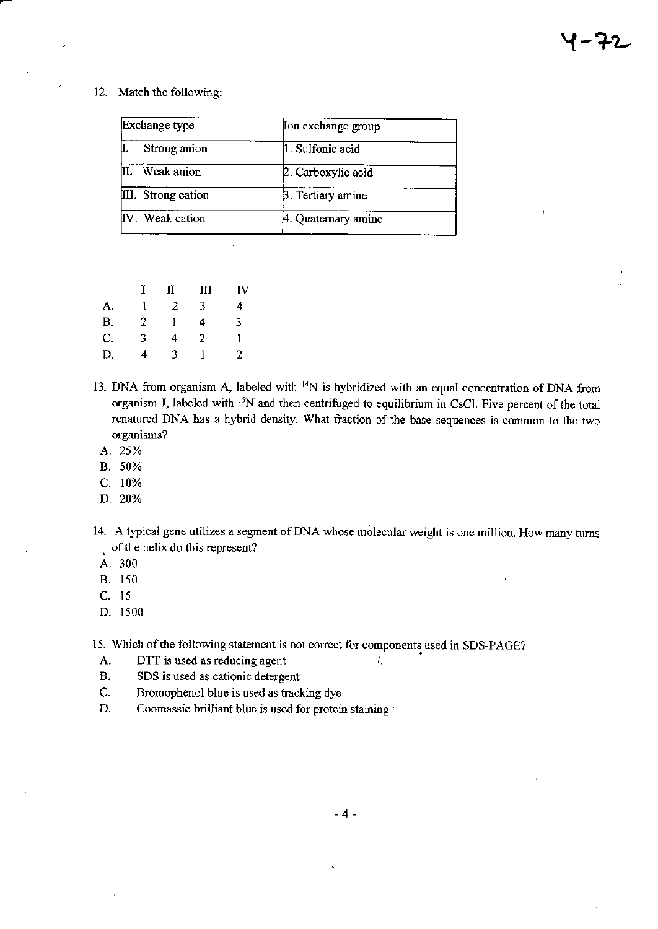#### 12. Match the following:

| Exchange type      | Ion exchange group  |
|--------------------|---------------------|
| Strong anion       | 1. Sulfonic acid    |
| Weak anion         | 2. Carboxylic acid  |
| III. Strong cation | 3. Tertiary amine   |
| IV. Weak cation    | 4. Quaternary amine |

 $\overline{\phantom{a}}$ 

|           |   | II | Ш | IV |
|-----------|---|----|---|----|
| A.        |   | 2  | 3 | 4  |
| <b>B.</b> | 2 |    | 4 | 3  |
| C.        | 3 | 4  | 2 |    |
| Ð.        | 4 | 3  |   | 2. |

- 13. DNA from organism A, labeled with <sup>14</sup>N is hybridized with an equal concentration of DNA from organism J, labeled with <sup>15</sup>N and then centrifuged to equilibrium in CsCl. Five percent of the total renatured DNA has a hybrid density. What fraction of the base sequences is common to the two organisms?
	- A. 25%
	- B. 50%
	- C. 10%
	- D. 20%
- 14. A typical gene utilizes a segment of DNA whose molecular weight is one million. How many turns of the helix do this represent?

÷,

- A. 300
- B. 150
- C. 15
- D. 1500

15. Which of the following statement is not correct for components used in SDS-PAGE?

- DTT is used as reducing agent A.
- $B.$ SDS is used as cationic detergent
- C. Bromophenol blue is used as tracking dye
- D. Coomassie brilliant blue is used for protein staining .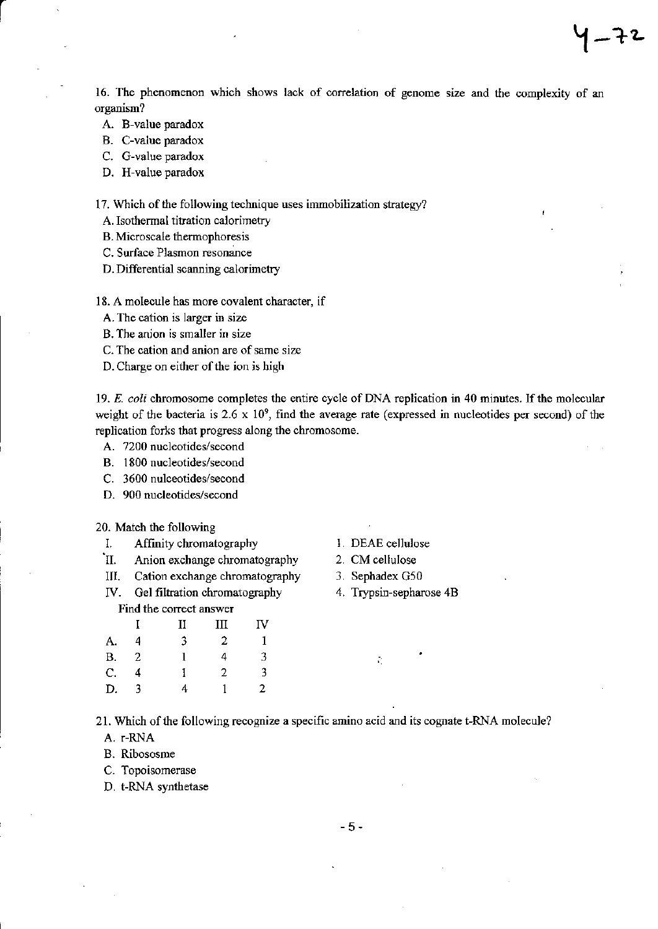16. The phenomenon which shows lack of correlation of genome size and the complexity of an organism?

 $1 - 72$ 

- A. B-value paradox
- B. C-value paradox

C. G-value paradox

D. H-value paradox

17. Which of the following technique uses immobilization strategy?

A. Isothermal titration calorimetry

B. Microscale thermophoresis

- C. Surface Plasmon resonance
- D. Differential scanning calorimetry

18. A molecule has more covalent character, if

A. The cation is larger in size

B. The anion is smaller in size

C. The cation and anion are of same size

D. Charge on either of the ion is high

19. E. coli chromosome completes the entire cycle of DNA replication in 40 minutes. If the molecular weight of the bacteria is 2.6 x  $10^9$ , find the average rate (expressed in nucleotides per second) of the replication forks that progress along the chromosome.

A. 7200 nucleotides/second

- B. 1800 nucleotides/second
- C. 3600 nulceotides/second
- D. 900 nucleotides/second

20. Match the following

- 
- I. Affinity chromatography I. DEAE cellulose<br>
I. Anion exchange chromatography 2. CM cellulose
- III. Cation exchange chromatography 3. Sephadex G50
- IV. Gel filtration chromatography 4. Trypsin-sepharose 4B

#### Find the correct answer

|             |    | Н | Ш | IV |
|-------------|----|---|---|----|
| А.          | 4  | 3 | 2 | 1  |
| <b>B.</b>   | -2 |   | 4 | 3  |
| $C_{\cdot}$ | 4  |   | 2 | 3  |
| D.          | 3  | 4 |   | 2. |

- 
- 
- 

Ŷ.

21. Which of the following recognize a specific amino acid and its cognate t-RNA molecule?

A. r-RNA

B. Ribososme

C. Topoisomerase

D. t-RNA synthetase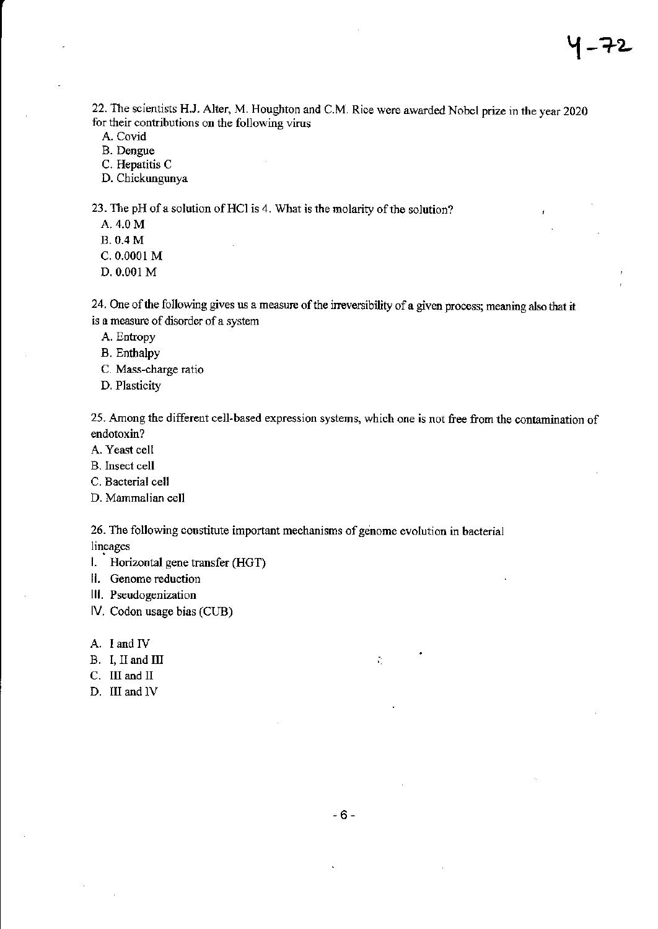22. The scientists H.J. Alter, M. Houghton and C.M. Rice were awarded Nobel prize in the year 2020 for their contributions on the following virus

A. Covid

B. Dengue

C. Hepatitis C

D. Chickungunya

23. The pH of a solution of HCl is 4. What is the molarity of the solution?

A. 4.0 M

B. 0.4 M

c. 0.0001 M

D. 0.001 M

24. One of the following gives us a measure of the irreversibility of a given process; meaning also that it is a measure of disorder of a system

A. Entropy

B. Enthalpy

C. Mass-charge ratio

D. Plasticity

25. Among the different cell-based expression systems, which one is not free from the contamination of endotoxin?

A. Yeast cell

B. Insect cell

C. Bacterial cell

D. Manmaliar cell

26. The following constitute important mechanisms of genome evolution in bacterial lineages

l. Horizontal gene transfer (HGT)

ll. Genome reduction

lll. Pseudogenization

lV. Codon usage bias (CIJB)

A. I and IV

- B. I, II and III
- C. III and II
- D. III and lV

 $\Gamma_{\rm c}$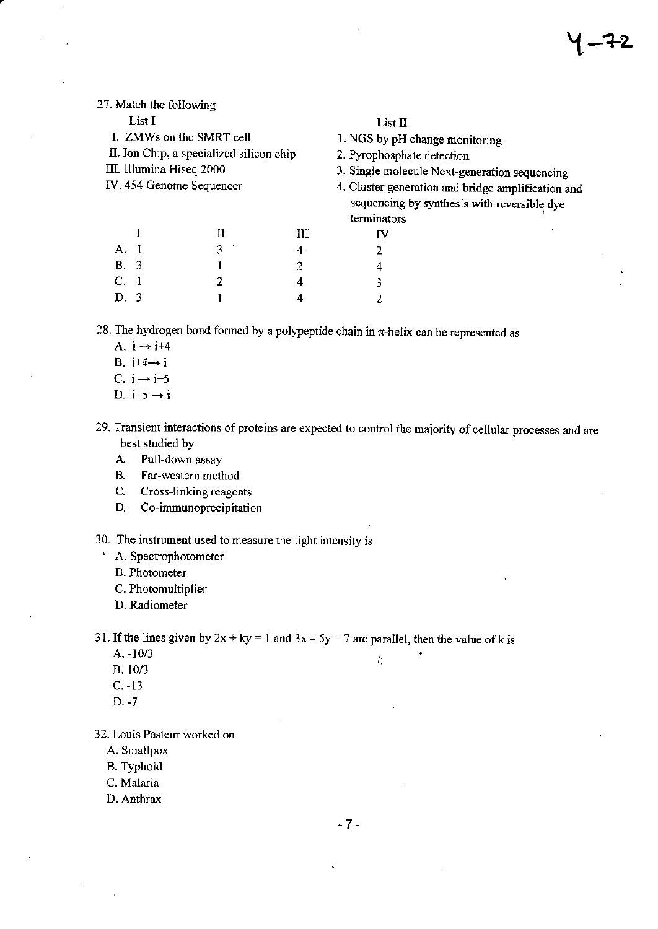| 27. Match the following  |                                          |   |                                                                                                   |  |
|--------------------------|------------------------------------------|---|---------------------------------------------------------------------------------------------------|--|
| List I                   |                                          |   | List $\Pi$                                                                                        |  |
|                          | I. ZMWs on the SMRT cell                 |   | 1. NGS by pH change monitoring                                                                    |  |
|                          | II. Ion Chip, a specialized silicon chip |   | 2. Pyrophosphate detection                                                                        |  |
| III. Illumina Hiseq 2000 |                                          |   | 3. Single molecule Next-generation sequencing                                                     |  |
|                          | IV. 454 Genome Sequencer                 |   | 4. Cluster generation and bridge amplification and<br>sequencing by synthesis with reversible dye |  |
|                          |                                          |   | terminators                                                                                       |  |
|                          | П                                        | Ш | IV                                                                                                |  |
| A.I                      | 3                                        | 4 | 2                                                                                                 |  |
| B. 3                     |                                          | 2 | 4                                                                                                 |  |
| С.                       | 2                                        | 4 | 3                                                                                                 |  |
| D. 3                     |                                          | 4 |                                                                                                   |  |
|                          |                                          |   |                                                                                                   |  |

28. The hydrogen bond formed by a polypeptide chain in  $\pi$ -helix can be represented as

- A.  $i \rightarrow i+4$
- B.  $i+4 \rightarrow i$
- C.  $i \rightarrow i+5$
- D.  $i+5 \rightarrow i$
- 29. Transient interactions of proteins are expected to control the majority of cellular processes and are best studied by
	- A Pull-down assay
	- B. Far-western method
	- C. Cross-linking reagents
	- D. Co-immunoprecipitation

30. The instrument used to measure the light intensity is

- ' A. Spectrophotometer
	- B. Photometer
	- C. Photomultiplier
	- D. Radiometer

31. If the lines given by  $2x + ky = 1$  and  $3x - 5y = 7$  are parallel, then the value of k is

- A. -10/3
- $B. 10/3$
- c. -13
- D. -7

32. Louis Pasteur worked on

- A. Smallpox
- B. Typhoid
- C. Malaria
- D. Anthrax

-7 -

 $\tilde{\mathcal{L}}_1$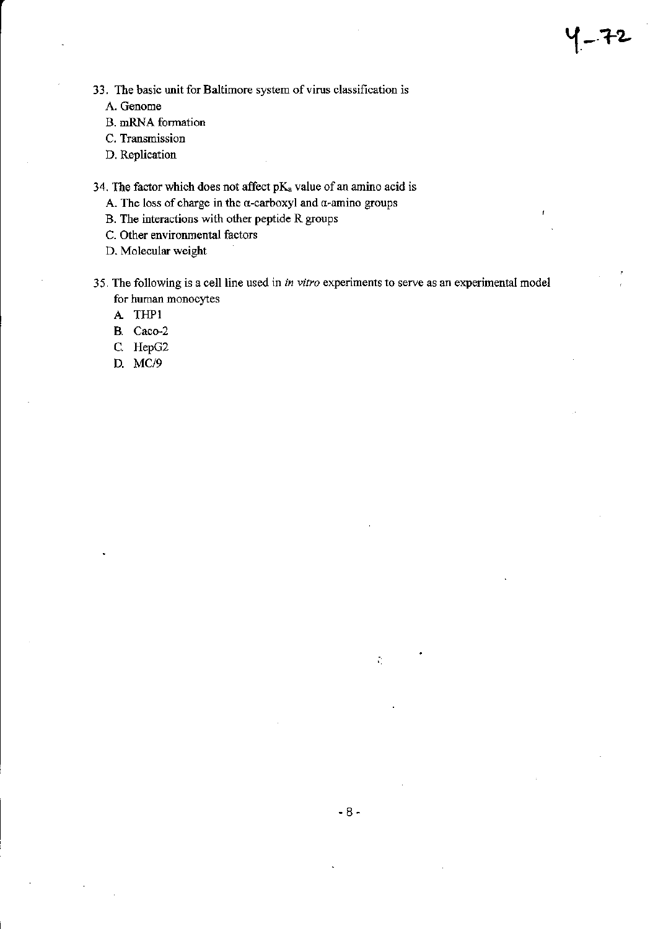- A. Genome
- B. mRNA formation
- C. Transmission
- D. Replication

34. The factor which does not affect  $pK_a$  value of an amino acid is

- A. The loss of charge in the  $\alpha$ -carboxyl and  $\alpha$ -amino groups
- B. The interactions with other peptide R groups
- C. Other environmental factors

D. Molecular weight

35. The following is a cell line used in in vitro experiments to serve as an experimental model for human monocytes

 $1 - f2$ 

- A THPI
- B. Caco-2
- C. HepG2
- D. MC/9

 $\tilde{\mathcal{L}}_1$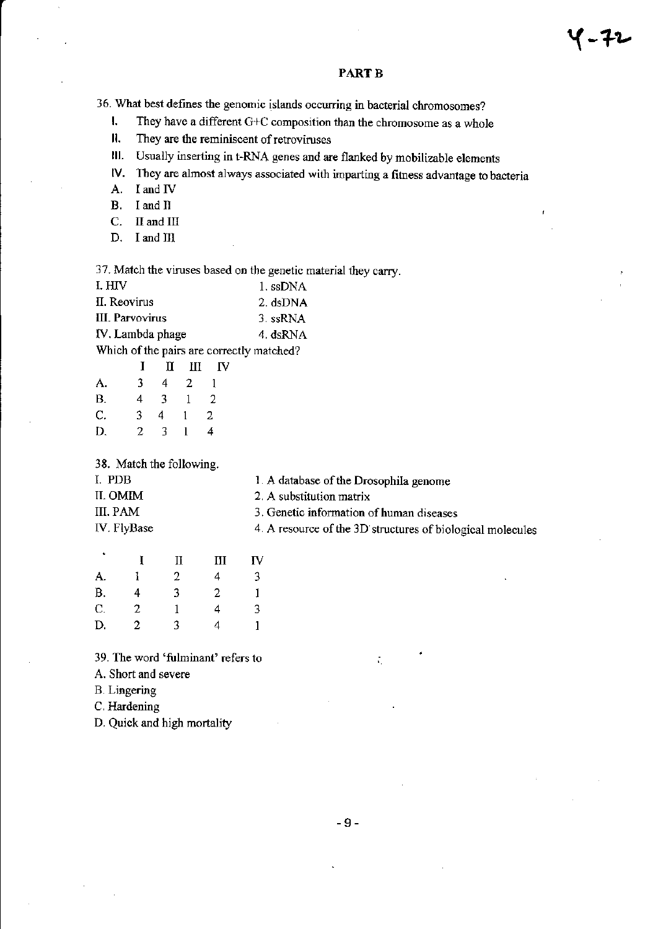#### PART B

36. What best defines the genomic islands occurring in bacterial chromosomes?

I. They have a different  $G+C$  composition than the chromosome as a whole  $\mathsf{II}$ . They are the reminiscent of retroviruses

They are the reminiscent of retroviruses

lll. Usually inserting in t-RNA genes and are flmked by mobilizable elements

lV. They are almost always associated with imparting a fitness advantage to bacteria A. I and IV

I and IV

B. <sup>I</sup>and II

C. II and III

D. I and III

37. Match the viruses based on the genetic material they carry.

| I. HIV           | 1. ssDNA |
|------------------|----------|
| II. Reovirus     | 2. dsDNA |
| III. Parvovirus  | 3. ssRNA |
| IV. Lambda phage | 4. dsRNA |
|                  |          |

Which of the pairs are correctly matched?

|           |    | $I$ II II IV   |              |              |
|-----------|----|----------------|--------------|--------------|
| А.        | 3. |                | 4 2          | $\mathbf{1}$ |
| <b>B.</b> | 4  | $3 -$          | $1\quad 2$   |              |
| C.        | 3. | 4              | $1 -$        | 2            |
| D.        | 2  | 3 <sub>1</sub> | $\mathbf{1}$ | 4            |

38. Match the following.

| I. PDB      | 1. A database of the Drosophila genome                     |
|-------------|------------------------------------------------------------|
| II. OMIM    | 2. A substitution matrix                                   |
| III. PAM    | 3. Genetic information of human diseases                   |
| IV. FlyBase | 4. A resource of the 3D structures of biological molecules |
|             |                                                            |

| ٠  |   | П | $\mathbf{I}$ | IV |
|----|---|---|--------------|----|
| A. |   | 2 | 4            | 3  |
| B. | 4 | 3 | 2            |    |
| C. | 2 |   | 4            | 3  |
| D. | 2 | 3 | 4            |    |

39. The word 'fulminant' refers to

A. Short and severe

B. Lingering

C. Hardening

D. Quick ard high mortality

÷.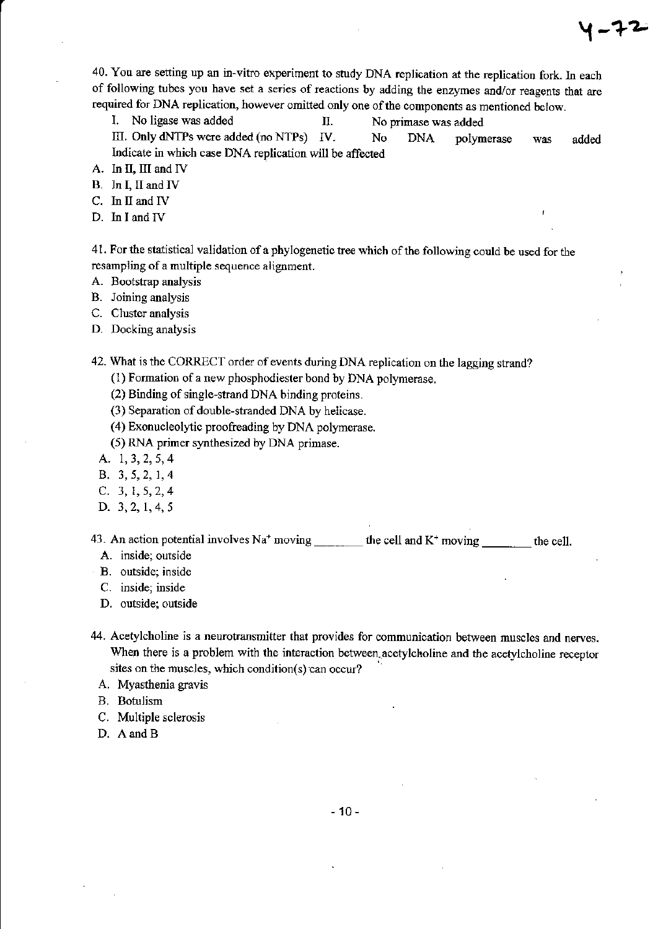40. You are setting up an in-vitro experiment to study DNA replication at the replication fork. In each of following tubes you have set a series of reactions by adding the enzymes and/or reagents that are required for DNA replication, however omitted only one of the components as mentioned below.

ィーチュ

I. No ligase was added Π. No primase was added

III. Only dNTPs were added (no NTPs) IV. No **DNA** polymerase was added Indicate in which case DNA replication will be affected

- A. In II, III and IV
- B. In I, II and IV
- C. In II and IV
- D. In I and IV

41. For the statistical validation of a phylogenetic tree which of the following could be used for the resampling of a multiple sequence alignment.

- A. Bootstrap analysis
- B. Joining analysis
- C. Cluster analysis
- D. Docking analysis

42. What is the CORRECT order of events during DNA replication on the lagging strand?

- (1) Formation of a new phosphodiester bond by DNA polymerase.
- (2) Binding of single-strand DNA binding proteins.
- (3) Separation of double-stranded DNA by helicase.
- (4) Exonucleolytic proofreading by DNA polymerase.
- (5) RNA primer synthesized by DNA primase.
- A. 1, 3, 2, 5, 4
- B. 3, 5, 2, 1, 4
- C.  $3, 1, 5, 2, 4$
- D. 3, 2, 1, 4, 5

43. An action potential involves  $Na^+$  moving \_\_\_\_\_\_\_\_\_ the cell and K<sup>+</sup> moving the cell.

- A. inside, outside
- B. outside; inside
- C. inside; inside
- D. outside; outside
- 44. Acetylcholine is a neurotransmitter that provides for communication between muscles and nerves. When there is a problem with the interaction between acetylcholine and the acetylcholine receptor sites on the muscles, which condition(s) can occur?
	- A. Myasthenia gravis
	- **B.** Botulism
	- C. Multiple sclerosis
	- D. A and B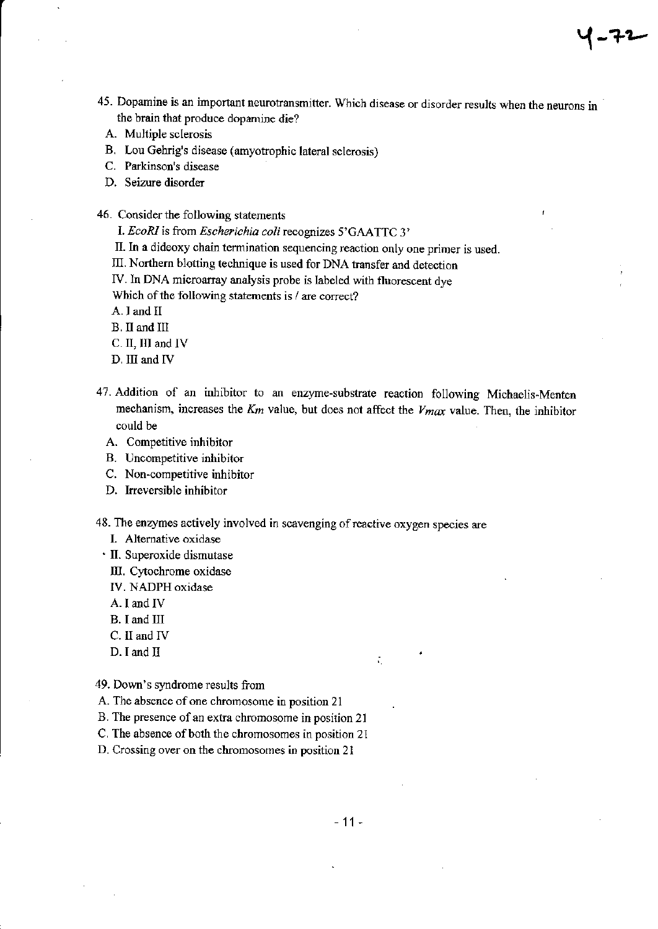45. Dopamine is an important neurotransmitter. Which disease or disorder results when the neurons in the brain that produce dopamine die?

イーナム

- A. Multiple sclerosis
- B. Lou Gehrig's disease (amyotrophic lateral sclerosis)
- C. Parkinson's disease
- D. Seizure disorder
- 46. Consider the following statements
	- I. EcoRI is from Escherichia coli recognizes 5'GAATTC 3'
	- II. In a dideoxy chain termination sequencing reaction only one primer is used.
	- III. Northern blotting technique is used for DNA transfer and detection
	- IV. In DNA microarray analysis probe is labeled with fluorescent dye

Which of the following statements is / are correct?

- A. I and II
- B. II and III
- C. II, III and IV
- D. III and IV
- 47. Addition of an inhibitor to an enzyme-substrate reaction following Michaelis-Menten mechanism, increases the  $K_m$  value, but does not affect the  $V_{m\alpha\alpha}$  value. Then, the inhibitor could be
	- A. Competitive inhibitor
	- B. Uncompetitive inhibitor
	- C. Non-competitive inhibitor
	- D. Irreversible inhibitor
- 48. The enzymes actively involved in scavenging of reactive oxygen species are
	- I. Alternative oxidase
	- · II. Superoxide dismutase
		- III. Cytochrome oxidase
		- IV. NADPH oxidase
		- A. I and IV
		- B. I and III
		- $C.$  II and IV
		- $D. I$  and  $\Pi$

49. Down's syndrome results from

- A. The absence of one chromosome in position 21
- B. The presence of an extra chromosome in position 21
- C. The absence of both the chromosomes in position 21
- D. Crossing over on the chromosomes in position 21

÷.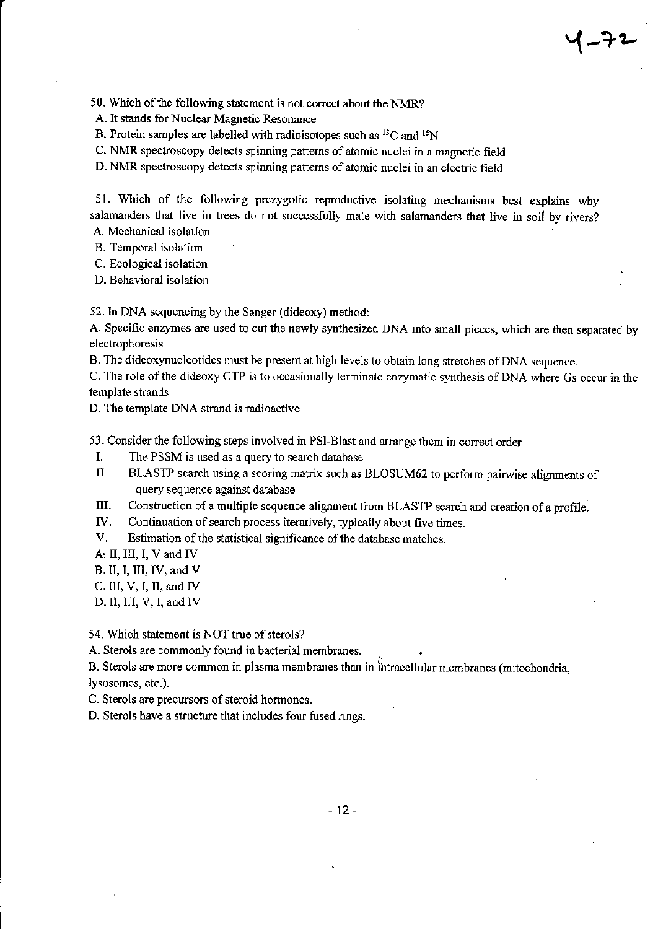50. Which of the following statement is not correct about the NMR?

A. It stands for Nuclear Magnetic Resonance

B. Protein samples are labelled with radioisotopes such as  ${}^{13}$ C and  ${}^{15}$ N

C. NMR spectroscopy detects spinning patterns of atomic nuclei in a magnetic field

D. NMR spectroscopy detects spinning patterns of atomic nuclei in an electric field

51. Which of the following prezygotic reproductive isolating mechanisms best explains why salamanders that live in trees do not successfully mate with salamanders that live in soil by rivers? A. Mechanical isolation

B. Temporal isolation

C. Ecological isolation

D. Behavioral isolation

52. In DNA sequencing by the Sanger (dideoxy) method:

A. Specific enzymes are used to cut the newly synthesized DNA into small pieces, which are then separated by electrophoresis

B. The dideoxynucleotides must be present at high levels to obtain long stretches of DNA sequence.

C. The role of the dideoxy CTP is to occasionally terminate enzymatic synthesis of DNA where Gs occur in the template strands

D. The template DNA strand is radioactive

53. Consider the following steps involved in PSI-Blast and arrange them in correct order

- $\mathbf{I}$ . The PSSM is used as a query to search database
- II. BLASTP search using a scoring matrix such as BLOSUM62 to perform pairwise alignments of query sequence against database
- Ш. Construction of a multiple sequence alignment from BLASTP search and creation of a profile.

IV. Continuation of search process iteratively, typically about five times.

V. Estimation of the statistical significance of the database matches.

A: II, III, I, V and IV

 $B.$  II, I, III, IV, and V

C. III,  $V$ , I, II, and IV

D. II, III, V, I, and IV

54. Which statement is NOT true of sterols?

A. Sterols are commonly found in bacterial membranes.

B. Sterols are more common in plasma membranes than in intracellular membranes (mitochondria, lysosomes, etc.).

C. Sterols are precursors of steroid hormones.

D. Sterols have a structure that includes four fused rings.

 $-12-$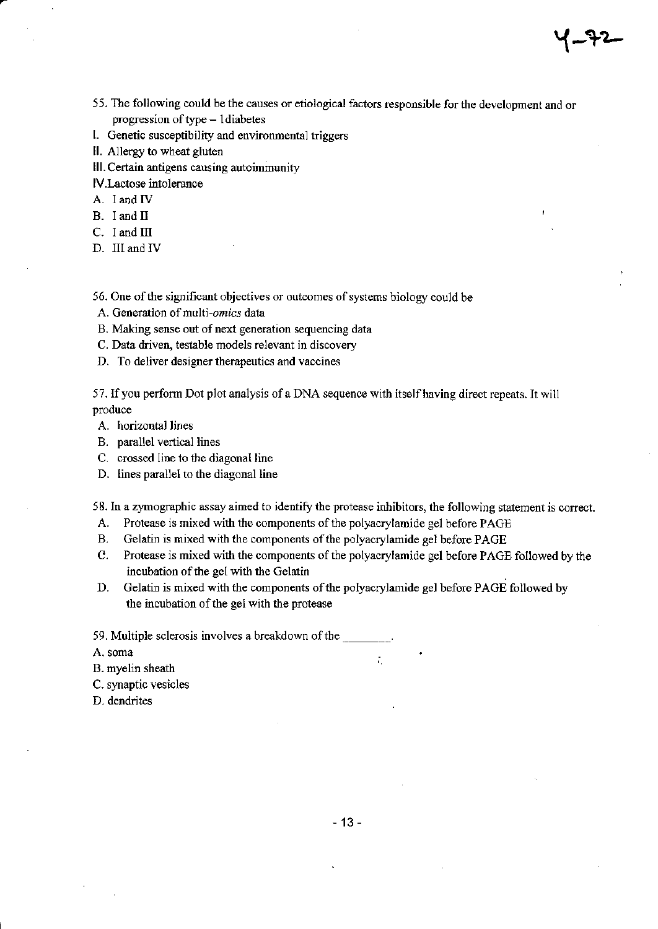55. The following could be the causes or etiological factors responsible for the development and or progression of type  $- 1$  diabetes

Y-A-

- l. Genetic susceptibility and environmental triggers
- ll. Allergy to wheat gluten
- III. Certain antigens causing autoimmunity
- lv.Lactose intolerance
- A. I and IV
- B. I and II
- $C.$  I and III
- D. III and IV
- 56. One of the significant objectives or outcomes of systems biology could be
- A. Generation of multi-omics data
- B. Making sense out of next generation sequencing data
- C. Data driven, testable models relevant in discovery
- D. To deliver designer therapeutics and vaccines

57. If you perform Dot plot analysis of a DNA sequence with itself having direct repeats. It will produce

- A. horizontal lines
- B. parallel vertical lines
- C. crossed line to the diagonal line
- D. lines parallel to the diagonal line

58. In a zymographic assay aimed to identify the protease inhibitors, the following statement is correct.

- A. Protease is mixed with the components of the polyacrylamide gel before PAGE
- B. Gelatin is mixed with the components of the polyacrylamide gel before PAGE
- C. Protease is mixed with the components of the polyacrylamide gel before PAGE followed by the incubation of the gel with the Gelatin

 $\mathcal{L}_1$ 

D. Gelatin is mixed with the components of the polyacrylamide gel before PAGE followed by the incubation of the gel with the protease

59. Multiple sclerosis involves a breakdown of the

A. soma

- B. myelin sheath
- C. synaptic vesicles
- D. dendrites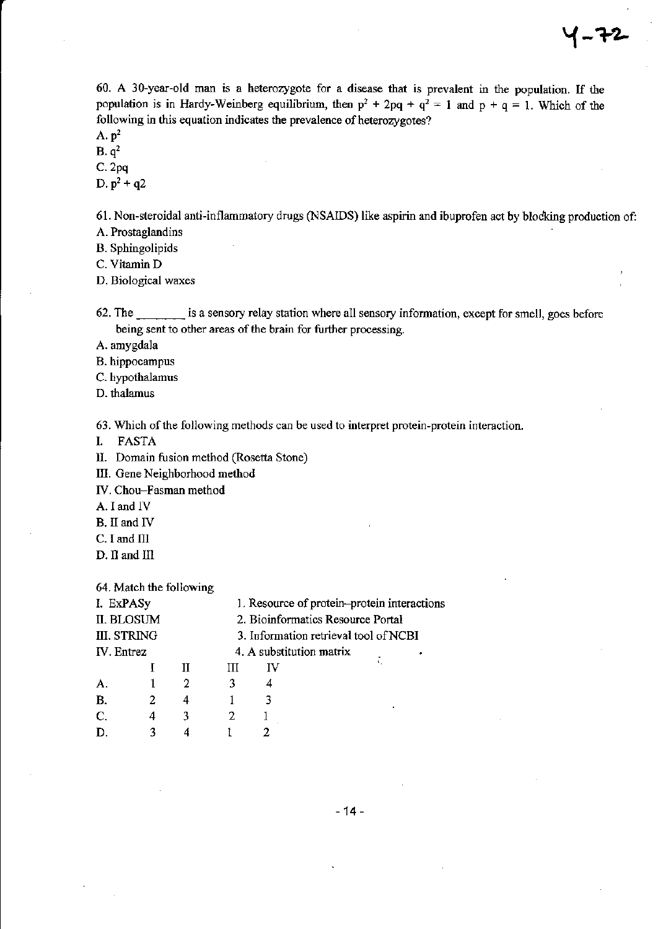60. A 30-year-old man is a heterozygote for a disease that is prevalent in the population. If the population is in Hardy-Weinberg equilibrium, then  $p^2 + 2pq + q^2 = 1$  and  $p + q = 1$ . Which of the following in this equation indicates the prevalence of heterozygotes?

A.  $p^2$ 

 $B. q<sup>2</sup>$ 

 $C. 2pq$ D.  $p^2 + q^2$ 

61. Non-steroidal anti-inflammatory drugs (NSAIDS) like aspirin and ibuprofen act by blocking production of: A. Prostaglandins

B. Sphingolipids

C. Vitamin D

D. Biological waxes

62. The is a sensory relay station where all sensory information, except for smell, goes before being sent to other areas of the brain for further processing.

A. amygdala

B. hippocampus

C. hypothalamus

D. thalamus

63. Which of the following methods can be used to interpret protein-protein interaction.

**FASTA** L.

II. Domain fusion method (Rosetta Stone)

III. Gene Neighborhood method

IV. Chou-Fasman method

A. I and IV

- B. II and IV
- C. I and III

D. II and III

#### 64. Match the following

| I. ExPASy   |   |   | 1. Resource of protein-protein interactions |    |                          |  |  |
|-------------|---|---|---------------------------------------------|----|--------------------------|--|--|
| II. BLOSUM  |   |   | 2. Bioinformatics Resource Portal           |    |                          |  |  |
| III. STRING |   |   | 3. Information retrieval tool of NCBI       |    |                          |  |  |
| IV. Entrez  |   |   |                                             |    | 4. A substitution matrix |  |  |
|             |   | H | Ш                                           | IV |                          |  |  |
|             |   | 2 |                                             |    |                          |  |  |
| В.          | 2 | 4 |                                             |    |                          |  |  |
| C.          | 4 | ٦ |                                             |    |                          |  |  |
|             | ٦ |   |                                             |    |                          |  |  |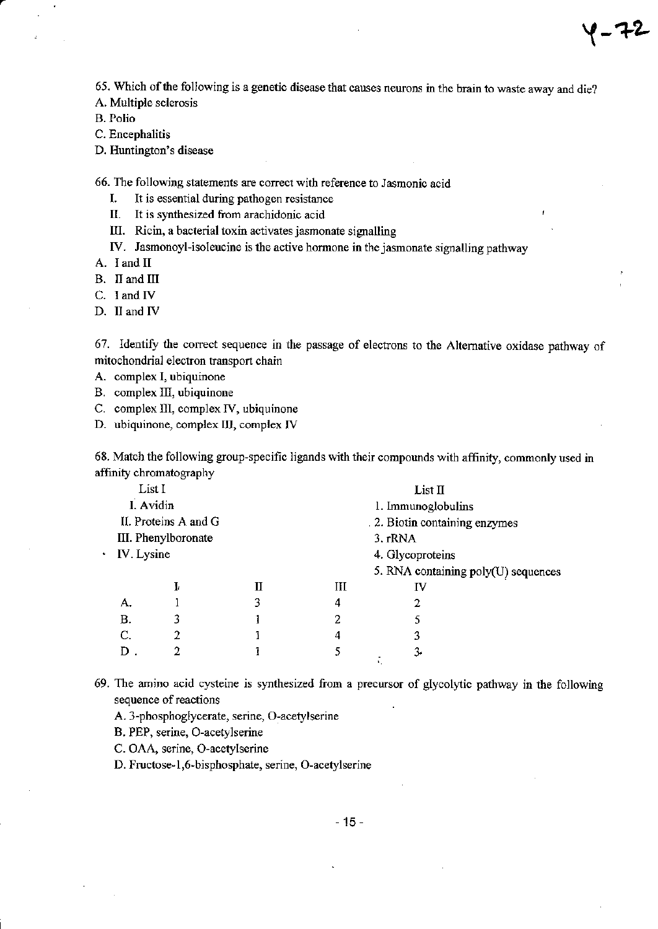65. Which of the following is a genetic disease that causes neurons in the brain to waste away and die?

(-72

A. Multiple sclerosis

**B.** Polio

C. Encephalitis

D. Huntington's disease

66. The following statements are correct with reference to Jasmonic acid

I. It is essential during pathogen resistance

 $\mathbf{II}$ . It is synthesized from arachidonic acid

III. Ricin, a bacterial toxin activates jasmonate signalling

IV. Jasmonoyl-isoleucine is the active hormone in the jasmonate signalling pathway

A. I and II

B. II and III

C. I and IV

D. II and IV

67. Identify the correct sequence in the passage of electrons to the Alternative oxidase pathway of mitochondrial electron transport chain

A. complex I, ubiquinone

B. complex III, ubiquinone

C. complex III, complex IV, ubiquinone

D. ubiquinone, complex III, complex IV

68. Match the following group-specific ligands with their compounds with affinity, commonly used in affinity chromatography

| I. Avidin  |   | 1. Immunoglobulins                          |    |                                                                               |  |  |
|------------|---|---------------------------------------------|----|-------------------------------------------------------------------------------|--|--|
|            |   | . 2. Biotin containing enzymes              |    |                                                                               |  |  |
|            |   |                                             |    |                                                                               |  |  |
| IV. Lysine |   |                                             |    |                                                                               |  |  |
|            |   |                                             |    |                                                                               |  |  |
| Ŀ          |   | Ш                                           | IV |                                                                               |  |  |
|            | 3 | 4                                           | 2  |                                                                               |  |  |
| 3          |   | 2                                           |    |                                                                               |  |  |
|            |   | 4                                           | 3  |                                                                               |  |  |
|            |   |                                             | 3. |                                                                               |  |  |
|            |   | II. Proteins A and G<br>III. Phenylboronate |    | List II<br>3. rRNA<br>4. Glycoproteins<br>5. RNA containing poly(U) sequences |  |  |

69. The amino acid cysteine is synthesized from a precursor of glycolytic pathway in the following sequence of reactions

A. 3-phosphoglycerate, serine, O-acetylserine

B. PEP, serine, O-acetylserine

C. OAA, serine, O-acetylserine

D. Fructose-1,6-bisphosphate, serine, O-acetylserine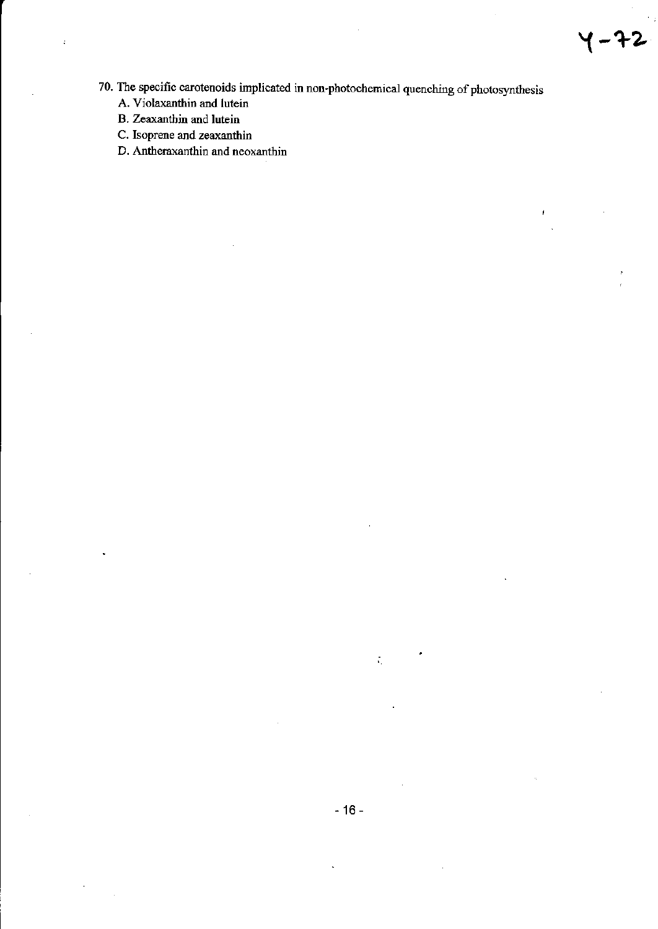- 70. The specific carotenoids implicated in non-photochemical quenching of photosynthesis
	- A. Violaxanthin and lutein
	- B. Zeaxanthin and lutein

 $\ddot{\cdot}$ 

- C. Isoprene and zeaxanthin
- D. Antheraxanthin and neoxanthin

 $\zeta_{\rm c}$